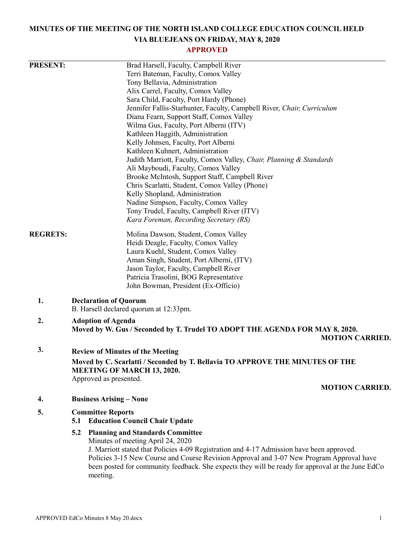# **MINUTES OF THE MEETING OF THE NORTH ISLAND COLLEGE EDUCATION COUNCIL HELD VIA BLUEJEANS ON FRIDAY, MAY 8, 2020**

# **APPROVED**

| <b>PRESENT:</b> |                                                                                                  | Brad Harsell, Faculty, Campbell River                                               |  |  |  |  |  |
|-----------------|--------------------------------------------------------------------------------------------------|-------------------------------------------------------------------------------------|--|--|--|--|--|
|                 |                                                                                                  | Terri Bateman, Faculty, Comox Valley                                                |  |  |  |  |  |
|                 |                                                                                                  | Tony Bellavia, Administration                                                       |  |  |  |  |  |
|                 |                                                                                                  | Alix Carrel, Faculty, Comox Valley                                                  |  |  |  |  |  |
|                 |                                                                                                  | Sara Child, Faculty, Port Hardy (Phone)                                             |  |  |  |  |  |
|                 |                                                                                                  | Jennifer Fallis-Starhunter, Faculty, Campbell River, Chair, Curriculum              |  |  |  |  |  |
|                 |                                                                                                  | Diana Fearn, Support Staff, Comox Valley                                            |  |  |  |  |  |
|                 |                                                                                                  | Wilma Gus, Faculty, Port Alberni (ITV)                                              |  |  |  |  |  |
|                 |                                                                                                  | Kathleen Haggith, Administration                                                    |  |  |  |  |  |
|                 |                                                                                                  | Kelly Johnsen, Faculty, Port Alberni                                                |  |  |  |  |  |
|                 |                                                                                                  | Kathleen Kuhnert, Administration                                                    |  |  |  |  |  |
|                 |                                                                                                  | Judith Marriott, Faculty, Comox Valley, Chair, Planning & Standards                 |  |  |  |  |  |
|                 |                                                                                                  | Ali Mayboudi, Faculty, Comox Valley                                                 |  |  |  |  |  |
|                 |                                                                                                  | Brooke McIntosh, Support Staff, Campbell River                                      |  |  |  |  |  |
|                 |                                                                                                  | Chris Scarlatti, Student, Comox Valley (Phone)                                      |  |  |  |  |  |
|                 |                                                                                                  | Kelly Shopland, Administration                                                      |  |  |  |  |  |
|                 |                                                                                                  | Nadine Simpson, Faculty, Comox Valley<br>Tony Trudel, Faculty, Campbell River (ITV) |  |  |  |  |  |
|                 |                                                                                                  | Kara Foreman, Recording Secretary (RS)                                              |  |  |  |  |  |
|                 |                                                                                                  |                                                                                     |  |  |  |  |  |
| <b>REGRETS:</b> |                                                                                                  | Molina Dawson, Student, Comox Valley                                                |  |  |  |  |  |
|                 |                                                                                                  | Heidi Deagle, Faculty, Comox Valley                                                 |  |  |  |  |  |
|                 | Laura Kuehl, Student, Comox Valley                                                               |                                                                                     |  |  |  |  |  |
|                 |                                                                                                  | Aman Singh, Student, Port Alberni, (ITV)                                            |  |  |  |  |  |
|                 |                                                                                                  | Jason Taylor, Faculty, Campbell River                                               |  |  |  |  |  |
|                 |                                                                                                  | Patricia Trasolini, BOG Representative                                              |  |  |  |  |  |
|                 |                                                                                                  | John Bowman, President (Ex-Officio)                                                 |  |  |  |  |  |
| 1.              | <b>Declaration of Quorum</b>                                                                     |                                                                                     |  |  |  |  |  |
|                 | B. Harsell declared quorum at 12:33pm.                                                           |                                                                                     |  |  |  |  |  |
| 2.              | <b>Adoption of Agenda</b>                                                                        |                                                                                     |  |  |  |  |  |
|                 | Moved by W. Gus / Seconded by T. Trudel TO ADOPT THE AGENDA FOR MAY 8, 2020.                     |                                                                                     |  |  |  |  |  |
|                 |                                                                                                  | <b>MOTION CARRIED.</b>                                                              |  |  |  |  |  |
| 3.              | <b>Review of Minutes of the Meeting</b>                                                          |                                                                                     |  |  |  |  |  |
|                 | Moved by C. Scarlatti / Seconded by T. Bellavia TO APPROVE THE MINUTES OF THE                    |                                                                                     |  |  |  |  |  |
|                 | <b>MEETING OF MARCH 13, 2020.</b>                                                                |                                                                                     |  |  |  |  |  |
|                 | Approved as presented.                                                                           |                                                                                     |  |  |  |  |  |
|                 |                                                                                                  | <b>MOTION CARRIED.</b>                                                              |  |  |  |  |  |
| 4.              | <b>Business Arising – None</b>                                                                   |                                                                                     |  |  |  |  |  |
| 5.              | <b>Committee Reports</b>                                                                         |                                                                                     |  |  |  |  |  |
|                 | 5.1                                                                                              | <b>Education Council Chair Update</b>                                               |  |  |  |  |  |
|                 | 5.2                                                                                              | <b>Planning and Standards Committee</b>                                             |  |  |  |  |  |
|                 |                                                                                                  | Minutes of meeting April 24, 2020                                                   |  |  |  |  |  |
|                 | J. Marriott stated that Policies 4-09 Registration and 4-17 Admission have been approved.        |                                                                                     |  |  |  |  |  |
|                 | Policies 3-15 New Course and Course Revision Approval and 3-07 New Program Approval have         |                                                                                     |  |  |  |  |  |
|                 | been posted for community feedback. She expects they will be ready for approval at the June EdCo |                                                                                     |  |  |  |  |  |
|                 |                                                                                                  | meeting.                                                                            |  |  |  |  |  |
|                 |                                                                                                  |                                                                                     |  |  |  |  |  |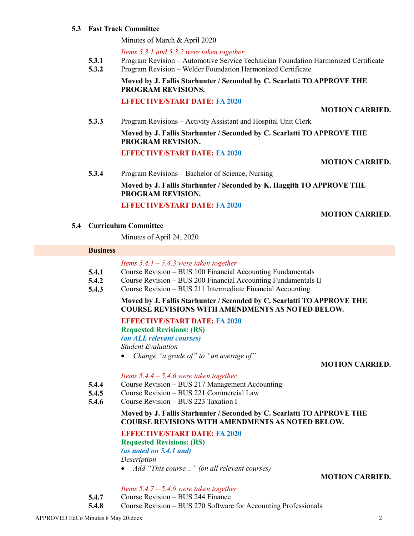#### **5.3 Fast Track Committee**

Minutes of March & April 2020

*Items 5.3.1 and 5.3.2 were taken together*

- **5.3.1** Program Revision – Automotive Service Technician Foundation Harmonized Certificate
- **5.3.2** Program Revision – Welder Foundation Harmonized Certificate

**Moved by J. Fallis Starhunter / Seconded by C. Scarlatti TO APPROVE THE PROGRAM REVISIONS.**

#### **EFFECTIVE/START DATE: FA 2020**

**MOTION CARRIED.**

**5.3.3** Program Revisions – Activity Assistant and Hospital Unit Clerk **Moved by J. Fallis Starhunter / Seconded by C. Scarlatti TO APPROVE THE PROGRAM REVISION. EFFECTIVE/START DATE: FA 2020**

**MOTION CARRIED.**

**5.3.4** Program Revisions – Bachelor of Science, Nursing

**Moved by J. Fallis Starhunter / Seconded by K. Haggith TO APPROVE THE PROGRAM REVISION.**

#### **EFFECTIVE/START DATE: FA 2020**

**MOTION CARRIED.**

#### **5.4 Curriculum Committee**

Minutes of April 24, 2020

#### **Business**

|  |  | Items $5.4.1 - 5.4.3$ were taken together |  |  |  |  |
|--|--|-------------------------------------------|--|--|--|--|
|--|--|-------------------------------------------|--|--|--|--|

- **5.4.1** Course Revision – BUS 100 Financial Accounting Fundamentals
- **5.4.2** Course Revision – BUS 200 Financial Accounting Fundamentals II
- **5.4.3** Course Revision – BUS 211 Intermediate Financial Accounting

#### **Moved by J. Fallis Starhunter / Seconded by C. Scarlatti TO APPROVE THE COURSE REVISIONS WITH AMENDMENTS AS NOTED BELOW.**

**EFFECTIVE/START DATE: FA 2020**

**Requested Revisions: (RS)**

*(on ALL relevant courses)*

*Student Evaluation*

*Change "a grade of" to "an average of"*

#### **MOTION CARRIED.**

#### *Items 5.4.4 – 5.4.6 were taken together*

- **5.4.4** Course Revision – BUS 217 Management Accounting
- **5.4.5** Course Revision – BUS 221 Commercial Law
- **5.4.6** Course Revision – BUS 223 Taxation I

#### **Moved by J. Fallis Starhunter / Seconded by C. Scarlatti TO APPROVE THE COURSE REVISIONS WITH AMENDMENTS AS NOTED BELOW.**

#### **EFFECTIVE/START DATE: FA 2020**

**Requested Revisions: (RS)**

*(as noted on 5.4.1 and)*

*Description*

*Add "This course…" (on all relevant courses)*

#### **MOTION CARRIED.**

#### *Items 5.4.7 – 5.4.9 were taken together*

- **5.4.7** Course Revision – BUS 244 Finance
- **5.4.8** Course Revision – BUS 270 Software for Accounting Professionals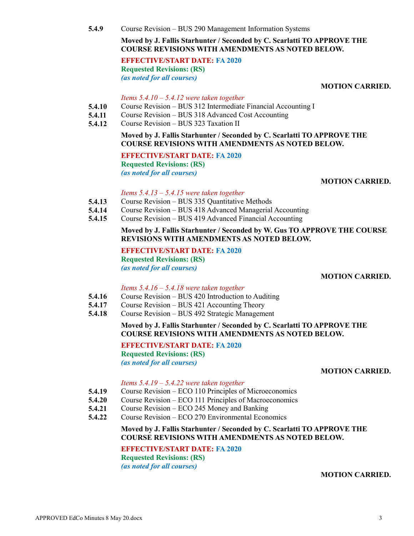**5.4.9** Course Revision – BUS 290 Management Information Systems

**Moved by J. Fallis Starhunter / Seconded by C. Scarlatti TO APPROVE THE COURSE REVISIONS WITH AMENDMENTS AS NOTED BELOW.**

**EFFECTIVE/START DATE: FA 2020 Requested Revisions: (RS)** *(as noted for all courses)*

**MOTION CARRIED.**

#### *Items 5.4.10 – 5.4.12 were taken together*

- **5.4.10** Course Revision – BUS 312 Intermediate Financial Accounting I
- **5.4.11** Course Revision – BUS 318 Advanced Cost Accounting
- **5.4.12** Course Revision – BUS 323 Taxation II

#### **Moved by J. Fallis Starhunter / Seconded by C. Scarlatti TO APPROVE THE COURSE REVISIONS WITH AMENDMENTS AS NOTED BELOW.**

**EFFECTIVE/START DATE: FA 2020 Requested Revisions: (RS)** *(as noted for all courses)*

#### **MOTION CARRIED.**

#### *Items 5.4.13 – 5.4.15 were taken together*

- **5.4.13** Course Revision – BUS 335 Quantitative Methods
- **5.4.14** Course Revision – BUS 418 Advanced Managerial Accounting
- **5.4.15** Course Revision – BUS 419 Advanced Financial Accounting

#### **Moved by J. Fallis Starhunter / Seconded by W. Gus TO APPROVE THE COURSE REVISIONS WITH AMENDMENTS AS NOTED BELOW.**

#### **EFFECTIVE/START DATE: FA 2020 Requested Revisions: (RS)** *(as noted for all courses)*

**MOTION CARRIED.**

#### *Items 5.4.16 – 5.4.18 were taken together*

- **5.4.16** Course Revision – BUS 420 Introduction to Auditing
- **5.4.17** Course Revision – BUS 421 Accounting Theory
- **5.4.18** Course Revision – BUS 492 Strategic Management

#### **Moved by J. Fallis Starhunter / Seconded by C. Scarlatti TO APPROVE THE COURSE REVISIONS WITH AMENDMENTS AS NOTED BELOW.**

**EFFECTIVE/START DATE: FA 2020 Requested Revisions: (RS)** *(as noted for all courses)*

#### **MOTION CARRIED.**

#### *Items 5.4.19 – 5.4.22 were taken together*

- **5.4.19** Course Revision – ECO 110 Principles of Microeconomics
- **5.4.20** Course Revision – ECO 111 Principles of Macroeconomics
- **5.4.21** Course Revision – ECO 245 Money and Banking
- **5.4.22** Course Revision – ECO 270 Environmental Economics

### **Moved by J. Fallis Starhunter / Seconded by C. Scarlatti TO APPROVE THE COURSE REVISIONS WITH AMENDMENTS AS NOTED BELOW.**

# **EFFECTIVE/START DATE: FA 2020 Requested Revisions: (RS)**

*(as noted for all courses)*

#### **MOTION CARRIED.**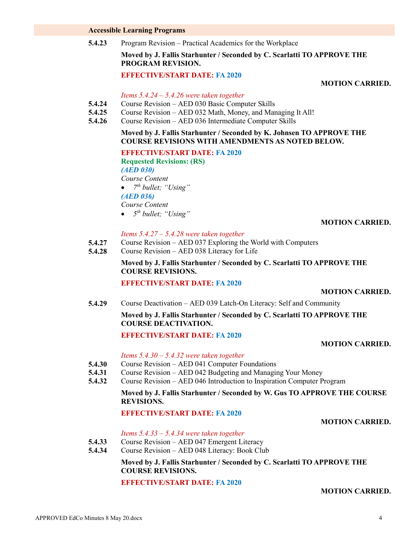# **Accessible Learning Programs**

**5.4.23** Program Revision – Practical Academics for the Workplace

**Moved by J. Fallis Starhunter / Seconded by C. Scarlatti TO APPROVE THE PROGRAM REVISION.**

# **EFFECTIVE/START DATE: FA 2020**

## **MOTION CARRIED.**

## *Items 5.4.24 – 5.4.26 were taken together*

- **5.4.24** Course Revision – AED 030 Basic Computer Skills
- **5.4.25** Course Revision – AED 032 Math, Money, and Managing It All!
- **5.4.26** Course Revision – AED 036 Intermediate Computer Skills

# **Moved by J. Fallis Starhunter / Seconded by K. Johnsen TO APPROVE THE COURSE REVISIONS WITH AMENDMENTS AS NOTED BELOW.**

#### **EFFECTIVE/START DATE: FA 2020**

**Requested Revisions: (RS)** *(AED 030) Course Content 7 th bullet; "Using" (AED 036) Course Content*

*5 th bullet; "Using"*

# **MOTION CARRIED.**

# *Items 5.4.27 – 5.4.28 were taken together*

- **5.4.27** Course Revision – AED 037 Exploring the World with Computers
- **5.4.28** Course Revision – AED 038 Literacy for Life

# **Moved by J. Fallis Starhunter / Seconded by C. Scarlatti TO APPROVE THE COURSE REVISIONS.**

# **EFFECTIVE/START DATE: FA 2020**

#### **MOTION CARRIED.**

**5.4.29** Course Deactivation – AED 039 Latch-On Literacy: Self and Community

#### **Moved by J. Fallis Starhunter / Seconded by C. Scarlatti TO APPROVE THE COURSE DEACTIVATION.**

# **EFFECTIVE/START DATE: FA 2020**

**MOTION CARRIED.**

- **5.4.30** *Items 5.4.30 – 5.4.32 were taken together* Course Revision – AED 041 Computer Foundations
- **5.4.31** Course Revision – AED 042 Budgeting and Managing Your Money
- **5.4.32** Course Revision – AED 046 Introduction to Inspiration Computer Program

# **Moved by J. Fallis Starhunter / Seconded by W. Gus TO APPROVE THE COURSE REVISIONS.**

# **EFFECTIVE/START DATE: FA 2020**

# **MOTION CARRIED.**

*Items 5.4.33 – 5.4.34 were taken together*

- **5.4.33** Course Revision – AED 047 Emergent Literacy
- **5.4.34** Course Revision – AED 048 Literacy: Book Club

# **Moved by J. Fallis Starhunter / Seconded by C. Scarlatti TO APPROVE THE COURSE REVISIONS.**

#### **EFFECTIVE/START DATE: FA 2020**

# **MOTION CARRIED.**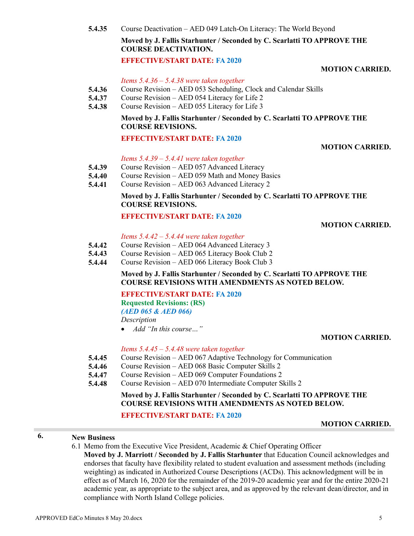**5.4.35** Course Deactivation – AED 049 Latch-On Literacy: The World Beyond

# **Moved by J. Fallis Starhunter / Seconded by C. Scarlatti TO APPROVE THE COURSE DEACTIVATION.**

# **EFFECTIVE/START DATE: FA 2020**

## **MOTION CARRIED.**

*Items 5.4.36 – 5.4.38 were taken together*

- **5.4.36** Course Revision – AED 053 Scheduling, Clock and Calendar Skills
- **5.4.37** Course Revision – AED 054 Literacy for Life 2
- **5.4.38** Course Revision – AED 055 Literacy for Life 3

# **Moved by J. Fallis Starhunter / Seconded by C. Scarlatti TO APPROVE THE COURSE REVISIONS.**

#### **EFFECTIVE/START DATE: FA 2020**

# **MOTION CARRIED.**

# *Items 5.4.39 – 5.4.41 were taken together*

- **5.4.39** Course Revision – AED 057 Advanced Literacy
- **5.4.40** Course Revision – AED 059 Math and Money Basics
- **5.4.41** Course Revision – AED 063 Advanced Literacy 2

# **Moved by J. Fallis Starhunter / Seconded by C. Scarlatti TO APPROVE THE COURSE REVISIONS.**

# **EFFECTIVE/START DATE: FA 2020**

# **MOTION CARRIED.**

#### *Items 5.4.42 – 5.4.44 were taken together*

- **5.4.42** Course Revision – AED 064 Advanced Literacy 3
- **5.4.43** Course Revision – AED 065 Literacy Book Club 2
- **5.4.44** Course Revision – AED 066 Literacy Book Club 3

# **Moved by J. Fallis Starhunter / Seconded by C. Scarlatti TO APPROVE THE COURSE REVISIONS WITH AMENDMENTS AS NOTED BELOW.**

**EFFECTIVE/START DATE: FA 2020 Requested Revisions: (RS)** *(AED 065 & AED 066) Description*

*Add "In this course…"*

#### **MOTION CARRIED.**

### *Items 5.4.45 – 5.4.48 were taken together*

- **5.4.45** Course Revision – AED 067 Adaptive Technology for Communication
- **5.4.46** Course Revision – AED 068 Basic Computer Skills 2
- **5.4.47** Course Revision – AED 069 Computer Foundations 2
- **5.4.48** Course Revision – AED 070 Intermediate Computer Skills 2

# **Moved by J. Fallis Starhunter / Seconded by C. Scarlatti TO APPROVE THE COURSE REVISIONS WITH AMENDMENTS AS NOTED BELOW.**

#### **EFFECTIVE/START DATE: FA 2020**

#### **MOTION CARRIED.**

# **6. New Business**

6.1 Memo from the Executive Vice President, Academic & Chief Operating Officer

**Moved by J. Marriott / Seconded by J. Fallis Starhunter** that Education Council acknowledges and endorses that faculty have flexibility related to student evaluation and assessment methods (including weighting) as indicated in Authorized Course Descriptions (ACDs). This acknowledgment will be in effect as of March 16, 2020 for the remainder of the 2019-20 academic year and for the entire 2020-21 academic year, as appropriate to the subject area, and as approved by the relevant dean/director, and in compliance with North Island College policies.